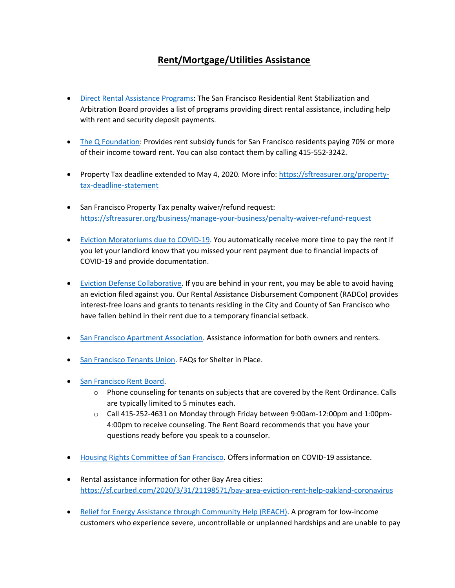## **Rent/Mortgage/Utilities Assistance**

- [Direct Rental Assistance Programs:](https://sfrb.org/sites/default/files/Document/Form/598%20Rental%20Assistance%20Referral%20List%207.10.17.pdf) The San Francisco Residential Rent Stabilization and Arbitration Board provides a list of programs providing direct rental assistance, including help with rent and security deposit payments.
- [The Q Foundation](https://theqfoundation.org/services/): Provides rent subsidy funds for San Francisco residents paying 70% or more of their income toward rent. You can also contact them by calling 415-552-3242.
- Property Tax deadline extended to May 4, 2020. More info[: https://sftreasurer.org/property](https://sftreasurer.org/property-tax-deadline-statement)[tax-deadline-statement](https://sftreasurer.org/property-tax-deadline-statement)
- San Francisco Property Tax penalty waiver/refund request: <https://sftreasurer.org/business/manage-your-business/penalty-waiver-refund-request>
- [Eviction Moratoriums due to COVID-19.](https://sf.gov/information/about-residential-eviction-moratoriums-due-covid-19) You automatically receive more time to pay the rent if you let your landlord know that you missed your rent payment due to financial impacts of COVID-19 and provide documentation.
- [Eviction Defense Collaborative.](https://evictiondefense.org/services/rental-assistance/) If you are behind in your rent, you may be able to avoid having an eviction filed against you. Our Rental Assistance Disbursement Component (RADCo) provides interest-free loans and grants to tenants residing in the City and County of San Francisco who have fallen behind in their rent due to a temporary financial setback.
- [San Francisco Apartment Association.](https://sfaa.org/) Assistance information for both owners and renters.
- [San Francisco Tenants Union.](https://sfaa.org/) FAQs for Shelter in Place.
- [San Francisco Rent Board.](https://sfrb.org/article/rent-board-notice-regarding-covid-19)
	- $\circ$  Phone counseling for tenants on subjects that are covered by the Rent Ordinance. Calls are typically limited to 5 minutes each.
	- o Call 415-252-4631 on Monday through Friday between 9:00am-12:00pm and 1:00pm-4:00pm to receive counseling. The Rent Board recommends that you have your questions ready before you speak to a counselor.
- [Housing Rights Committee of San Francisco.](http://hrcsf.org/2020/03/23/eviction-moratorium/) Offers information on COVID-19 assistance.
- Rental assistance information for other Bay Area cities: <https://sf.curbed.com/2020/3/31/21198571/bay-area-eviction-rent-help-oakland-coronavirus>
- Relief for Energy Assistance [through Community Help \(REACH\).](https://www.pge.com/en_US/residential/save-energy-money/help-paying-your-bill/one-time-assistance/reach/reach.page?WT.mc_id=Vanity_reach) A program for low-income customers who experience severe, uncontrollable or unplanned hardships and are unable to pay